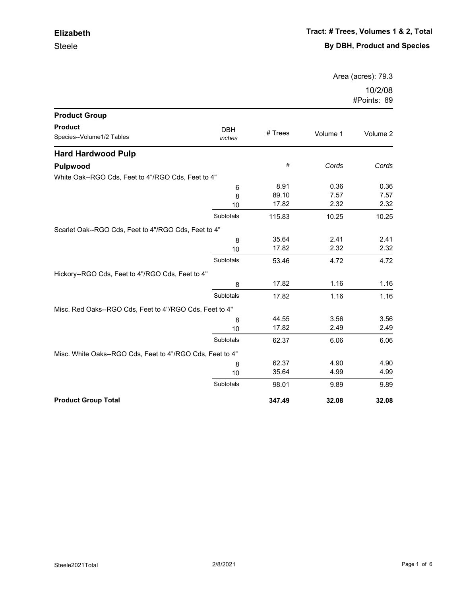Area (acres): 79.3

| <b>Product Group</b>                                      |                      |         |          |          |
|-----------------------------------------------------------|----------------------|---------|----------|----------|
| <b>Product</b><br>Species--Volume1/2 Tables               | <b>DBH</b><br>inches | # Trees | Volume 1 | Volume 2 |
| <b>Hard Hardwood Pulp</b>                                 |                      |         |          |          |
| Pulpwood                                                  |                      | #       | Cords    | Cords    |
| White Oak--RGO Cds, Feet to 4"/RGO Cds, Feet to 4"        |                      |         |          |          |
|                                                           | 6                    | 8.91    | 0.36     | 0.36     |
|                                                           | 8                    | 89.10   | 7.57     | 7.57     |
|                                                           | 10                   | 17.82   | 2.32     | 2.32     |
|                                                           | Subtotals            | 115.83  | 10.25    | 10.25    |
| Scarlet Oak--RGO Cds, Feet to 4"/RGO Cds, Feet to 4"      |                      |         |          |          |
|                                                           | 8                    | 35.64   | 2.41     | 2.41     |
|                                                           | 10                   | 17.82   | 2.32     | 2.32     |
|                                                           | Subtotals            | 53.46   | 4.72     | 4.72     |
| Hickory--RGO Cds, Feet to 4"/RGO Cds, Feet to 4"          |                      |         |          |          |
|                                                           | 8                    | 17.82   | 1.16     | 1.16     |
|                                                           | Subtotals            | 17.82   | 1.16     | 1.16     |
| Misc. Red Oaks--RGO Cds, Feet to 4"/RGO Cds, Feet to 4"   |                      |         |          |          |
|                                                           | 8                    | 44.55   | 3.56     | 3.56     |
|                                                           | 10                   | 17.82   | 2.49     | 2.49     |
|                                                           | Subtotals            | 62.37   | 6.06     | 6.06     |
| Misc. White Oaks--RGO Cds, Feet to 4"/RGO Cds, Feet to 4" |                      |         |          |          |
|                                                           | 8                    | 62.37   | 4.90     | 4.90     |
|                                                           | 10                   | 35.64   | 4.99     | 4.99     |
|                                                           | Subtotals            | 98.01   | 9.89     | 9.89     |
| <b>Product Group Total</b>                                |                      | 347.49  | 32.08    | 32.08    |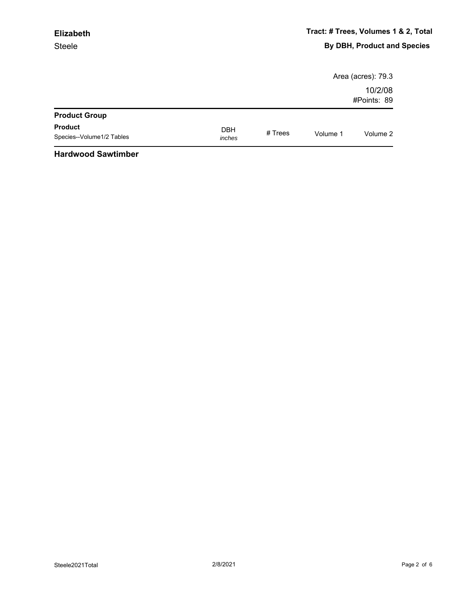#### Steele **Elizabeth**

|                                             |                      |         |          | Area (acres): 79.3     |
|---------------------------------------------|----------------------|---------|----------|------------------------|
|                                             |                      |         |          | 10/2/08<br>#Points: 89 |
| <b>Product Group</b>                        |                      |         |          |                        |
| <b>Product</b><br>Species--Volume1/2 Tables | <b>DBH</b><br>inches | # Trees | Volume 1 | Volume 2               |
| .                                           |                      |         |          |                        |

#### **Hardwood Sawtimber**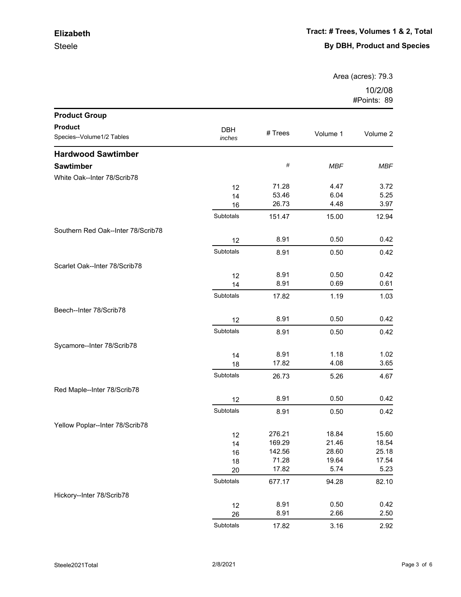Steele

Area (acres): 79.3

| <b>Product Group</b>               |            |         |            |            |
|------------------------------------|------------|---------|------------|------------|
| <b>Product</b>                     | <b>DBH</b> |         |            |            |
| Species--Volume1/2 Tables          | inches     | # Trees | Volume 1   | Volume 2   |
| <b>Hardwood Sawtimber</b>          |            |         |            |            |
| <b>Sawtimber</b>                   |            | $\#$    | <b>MBF</b> | <b>MBF</b> |
| White Oak--Inter 78/Scrib78        |            |         |            |            |
|                                    | 12         | 71.28   | 4.47       | 3.72       |
|                                    | 14         | 53.46   | 6.04       | 5.25       |
|                                    | 16         | 26.73   | 4.48       | 3.97       |
|                                    | Subtotals  | 151.47  | 15.00      | 12.94      |
| Southern Red Oak--Inter 78/Scrib78 |            |         |            |            |
|                                    | 12         | 8.91    | 0.50       | 0.42       |
|                                    | Subtotals  | 8.91    | 0.50       | 0.42       |
| Scarlet Oak--Inter 78/Scrib78      |            |         |            |            |
|                                    | 12         | 8.91    | 0.50       | 0.42       |
|                                    | 14         | 8.91    | 0.69       | 0.61       |
|                                    | Subtotals  | 17.82   | 1.19       | 1.03       |
| Beech--Inter 78/Scrib78            |            |         |            |            |
|                                    | 12         | 8.91    | 0.50       | 0.42       |
|                                    | Subtotals  | 8.91    | 0.50       | 0.42       |
| Sycamore--Inter 78/Scrib78         |            |         |            |            |
|                                    | 14         | 8.91    | 1.18       | 1.02       |
|                                    | 18         | 17.82   | 4.08       | 3.65       |
|                                    | Subtotals  | 26.73   | 5.26       | 4.67       |
| Red Maple--Inter 78/Scrib78        |            |         |            |            |
|                                    | 12         | 8.91    | 0.50       | 0.42       |
|                                    | Subtotals  | 8.91    | 0.50       | 0.42       |
| Yellow Poplar--Inter 78/Scrib78    |            |         |            |            |
|                                    | 12         | 276.21  | 18.84      | 15.60      |
|                                    | 14         | 169.29  | 21.46      | 18.54      |
|                                    | 16         | 142.56  | 28.60      | 25.18      |
|                                    | 18         | 71.28   | 19.64      | 17.54      |
|                                    | 20         | 17.82   | 5.74       | 5.23       |
|                                    | Subtotals  | 677.17  | 94.28      | 82.10      |
| Hickory--Inter 78/Scrib78          |            |         |            |            |
|                                    | 12         | 8.91    | 0.50       | 0.42       |
|                                    | 26         | 8.91    | 2.66       | 2.50       |
|                                    | Subtotals  | 17.82   | 3.16       | 2.92       |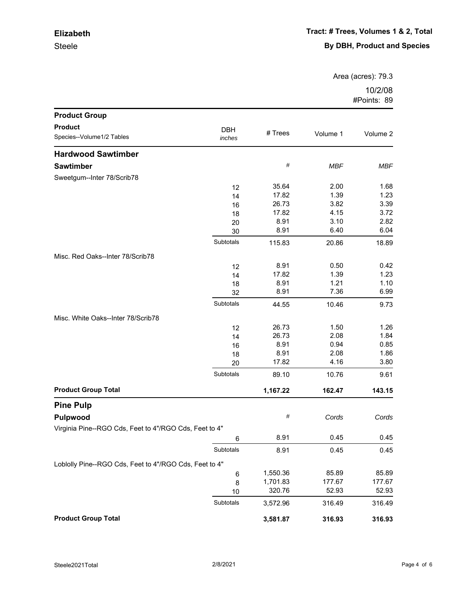Steele

Area (acres): 79.3

| <b>Product Group</b>                                   |            |          |            |            |
|--------------------------------------------------------|------------|----------|------------|------------|
| <b>Product</b>                                         | <b>DBH</b> |          |            |            |
| Species--Volume1/2 Tables                              | inches     | # Trees  | Volume 1   | Volume 2   |
| <b>Hardwood Sawtimber</b>                              |            |          |            |            |
| <b>Sawtimber</b>                                       |            | $\#$     | <b>MBF</b> | <b>MBF</b> |
| Sweetgum--Inter 78/Scrib78                             |            |          |            |            |
|                                                        | 12         | 35.64    | 2.00       | 1.68       |
|                                                        | 14         | 17.82    | 1.39       | 1.23       |
|                                                        | 16         | 26.73    | 3.82       | 3.39       |
|                                                        | 18         | 17.82    | 4.15       | 3.72       |
|                                                        | 20         | 8.91     | 3.10       | 2.82       |
|                                                        | 30         | 8.91     | 6.40       | 6.04       |
|                                                        | Subtotals  | 115.83   | 20.86      | 18.89      |
| Misc. Red Oaks--Inter 78/Scrib78                       |            |          |            |            |
|                                                        | 12         | 8.91     | 0.50       | 0.42       |
|                                                        | 14         | 17.82    | 1.39       | 1.23       |
|                                                        | 18         | 8.91     | 1.21       | 1.10       |
|                                                        | 32         | 8.91     | 7.36       | 6.99       |
|                                                        | Subtotals  | 44.55    | 10.46      | 9.73       |
| Misc. White Oaks--Inter 78/Scrib78                     |            |          |            |            |
|                                                        | 12         | 26.73    | 1.50       | 1.26       |
|                                                        | 14         | 26.73    | 2.08       | 1.84       |
|                                                        | 16         | 8.91     | 0.94       | 0.85       |
|                                                        | 18         | 8.91     | 2.08       | 1.86       |
|                                                        | 20         | 17.82    | 4.16       | 3.80       |
|                                                        | Subtotals  | 89.10    | 10.76      | 9.61       |
| <b>Product Group Total</b>                             |            | 1,167.22 | 162.47     | 143.15     |
| <b>Pine Pulp</b>                                       |            |          |            |            |
| Pulpwood                                               |            | #        | Cords      | Cords      |
| Virginia Pine--RGO Cds, Feet to 4"/RGO Cds, Feet to 4" |            |          |            |            |
|                                                        | 6          | 8.91     | 0.45       | 0.45       |
|                                                        | Subtotals  | 8.91     | 0.45       | 0.45       |
| Loblolly Pine--RGO Cds, Feet to 4"/RGO Cds, Feet to 4" |            |          |            |            |
|                                                        | 6          | 1,550.36 | 85.89      | 85.89      |
|                                                        | 8          | 1,701.83 | 177.67     | 177.67     |
|                                                        | 10         | 320.76   | 52.93      | 52.93      |
|                                                        | Subtotals  | 3,572.96 | 316.49     | 316.49     |
| <b>Product Group Total</b>                             |            | 3,581.87 | 316.93     | 316.93     |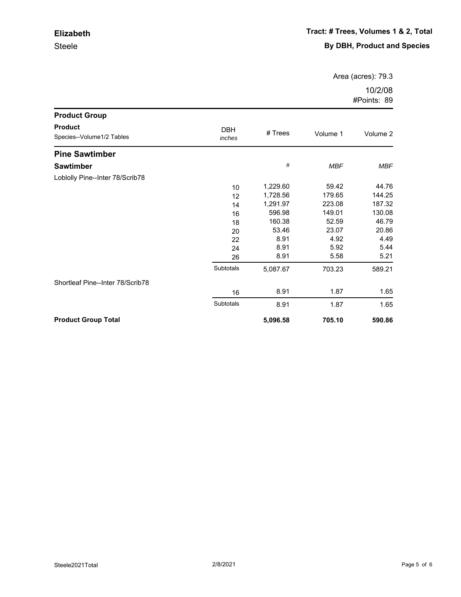Steele

Area (acres): 79.3

| <b>Product Group</b>                        |                      |          |            |            |
|---------------------------------------------|----------------------|----------|------------|------------|
| <b>Product</b><br>Species--Volume1/2 Tables | <b>DBH</b><br>inches | # Trees  | Volume 1   | Volume 2   |
| <b>Pine Sawtimber</b>                       |                      |          |            |            |
| <b>Sawtimber</b>                            |                      | #        | <b>MBF</b> | <b>MBF</b> |
| Loblolly Pine--Inter 78/Scrib78             |                      |          |            |            |
|                                             | 10                   | 1,229.60 | 59.42      | 44.76      |
|                                             | 12                   | 1,728.56 | 179.65     | 144.25     |
|                                             | 14                   | 1,291.97 | 223.08     | 187.32     |
|                                             | 16                   | 596.98   | 149.01     | 130.08     |
|                                             | 18                   | 160.38   | 52.59      | 46.79      |
|                                             | 20                   | 53.46    | 23.07      | 20.86      |
|                                             | 22                   | 8.91     | 4.92       | 4.49       |
|                                             | 24                   | 8.91     | 5.92       | 5.44       |
|                                             | 26                   | 8.91     | 5.58       | 5.21       |
|                                             | Subtotals            | 5,087.67 | 703.23     | 589.21     |
| Shortleaf Pine--Inter 78/Scrib78            |                      |          |            |            |
|                                             | 16                   | 8.91     | 1.87       | 1.65       |
|                                             | Subtotals            | 8.91     | 1.87       | 1.65       |
| <b>Product Group Total</b>                  |                      | 5,096.58 | 705.10     | 590.86     |